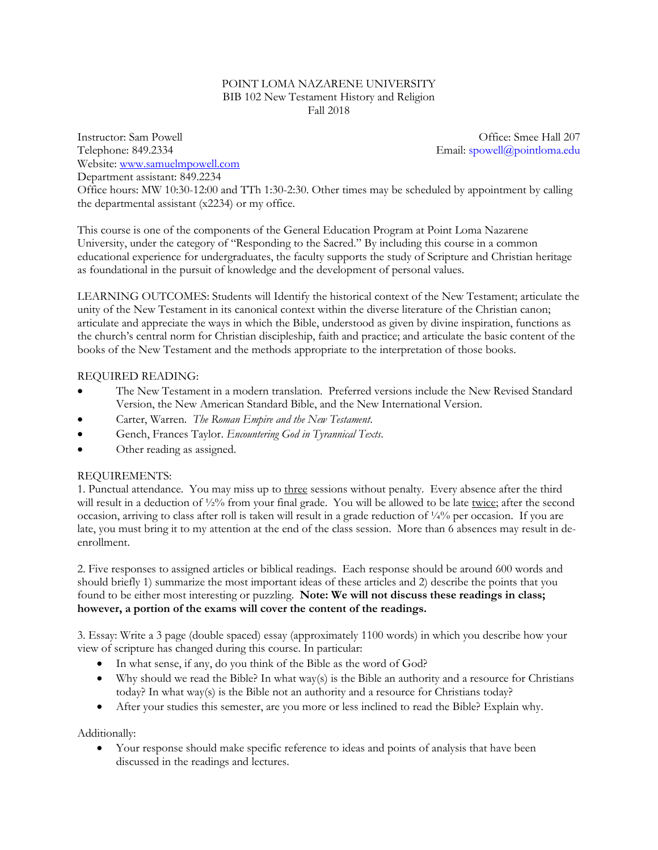#### POINT LOMA NAZARENE UNIVERSITY BIB 102 New Testament History and Religion Fall 2018

Instructor: Sam Powell **Instructor: Sam Powell Office: Smee Hall 207** Telephone: 849.2334 Email: [spowell@pointloma.edu](mailto:spowell@ptloma.edu) Website: [www.samuelmpowell.com](http://www.samuelmpowell.com/)

Department assistant: 849.2234

Office hours: MW 10:30-12:00 and TTh 1:30-2:30. Other times may be scheduled by appointment by calling the departmental assistant (x2234) or my office.

This course is one of the components of the General Education Program at Point Loma Nazarene University, under the category of "Responding to the Sacred." By including this course in a common educational experience for undergraduates, the faculty supports the study of Scripture and Christian heritage as foundational in the pursuit of knowledge and the development of personal values.

LEARNING OUTCOMES: Students will Identify the historical context of the New Testament; articulate the unity of the New Testament in its canonical context within the diverse literature of the Christian canon; articulate and appreciate the ways in which the Bible, understood as given by divine inspiration, functions as the church's central norm for Christian discipleship, faith and practice; and articulate the basic content of the books of the New Testament and the methods appropriate to the interpretation of those books.

### REQUIRED READING:

- The New Testament in a modern translation. Preferred versions include the New Revised Standard Version, the New American Standard Bible, and the New International Version.
- Carter, Warren. *The Roman Empire and the New Testament*.
- Gench, Frances Taylor. *Encountering God in Tyrannical Texts*.
- Other reading as assigned.

#### REQUIREMENTS:

1. Punctual attendance. You may miss up to three sessions without penalty. Every absence after the third will result in a deduction of  $\frac{1}{2}\%$  from your final grade. You will be allowed to be late twice; after the second occasion, arriving to class after roll is taken will result in a grade reduction of ¼% per occasion. If you are late, you must bring it to my attention at the end of the class session. More than 6 absences may result in deenrollment.

2. Five responses to assigned articles or biblical readings. Each response should be around 600 words and should briefly 1) summarize the most important ideas of these articles and 2) describe the points that you found to be either most interesting or puzzling. **Note: We will not discuss these readings in class; however, a portion of the exams will cover the content of the readings.**

3. Essay: Write a 3 page (double spaced) essay (approximately 1100 words) in which you describe how your view of scripture has changed during this course. In particular:

- In what sense, if any, do you think of the Bible as the word of God?
- Why should we read the Bible? In what way(s) is the Bible an authority and a resource for Christians today? In what way(s) is the Bible not an authority and a resource for Christians today?
- After your studies this semester, are you more or less inclined to read the Bible? Explain why.

Additionally:

 Your response should make specific reference to ideas and points of analysis that have been discussed in the readings and lectures.